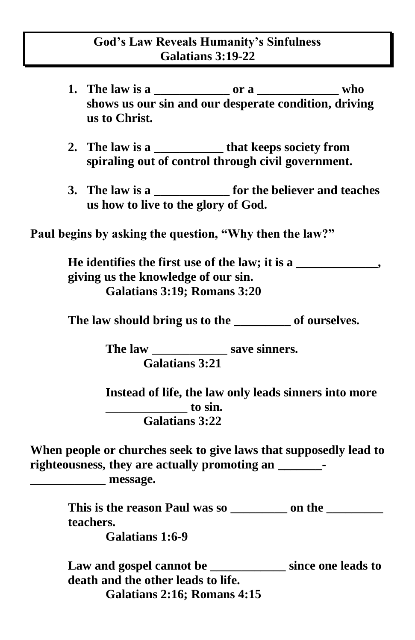## **God's Law Reveals Humanity's Sinfulness Galatians 3:19-22**

- **1. The law is a \_\_\_\_\_\_\_\_\_\_\_\_ or a \_\_\_\_\_\_\_\_\_\_\_\_\_ who shows us our sin and our desperate condition, driving us to Christ.**
- **2. The law is a \_\_\_\_\_\_\_\_\_\_\_ that keeps society from spiraling out of control through civil government.**
- **3. The law is a \_\_\_\_\_\_\_\_\_\_\_\_ for the believer and teaches us how to live to the glory of God.**

**Paul begins by asking the question, "Why then the law?"** 

**He identifies the first use of the law; it is a \_\_\_\_\_\_\_\_\_\_\_\_\_, giving us the knowledge of our sin. Galatians 3:19; Romans 3:20** 

**The law should bring us to the \_\_\_\_\_\_\_\_\_ of ourselves.**

**The law \_\_\_\_\_\_\_\_\_\_\_\_ save sinners. Galatians 3:21** 

**Instead of life, the law only leads sinners into more \_\_\_\_\_\_\_\_\_\_\_\_\_ to sin. Galatians 3:22** 

**When people or churches seek to give laws that supposedly lead to righteousness, they are actually promoting an \_\_\_\_\_\_\_-**

**\_\_\_\_\_\_\_\_\_\_\_\_ message.**

**This is the reason Paul was so \_\_\_\_\_\_\_\_\_ on the \_\_\_\_\_\_\_\_\_ teachers.**

**Galatians 1:6-9**

**Law and gospel cannot be \_\_\_\_\_\_\_\_\_\_\_\_ since one leads to death and the other leads to life. Galatians 2:16; Romans 4:15**